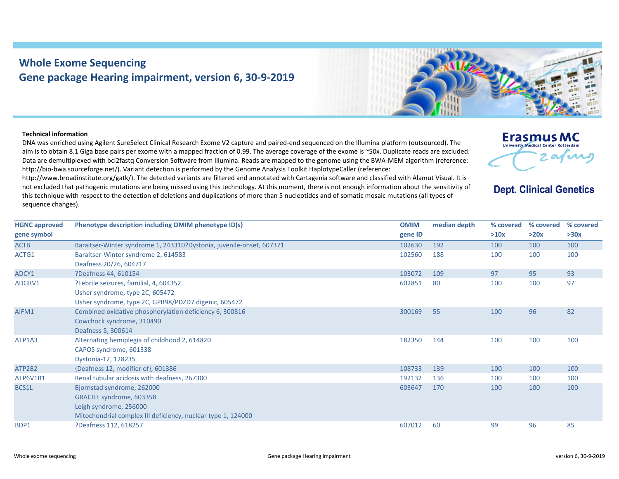## **Whole Exome Sequencing Gene package Hearing impairment, version 6, 30‐9‐2019**



## **Technical information**

DNA was enriched using Agilent SureSelect Clinical Research Exome V2 capture and paired‐end sequenced on the Illumina platform (outsourced). The aim is to obtain 8.1 Giga base pairs per exome with a mapped fraction of 0.99. The average coverage of the exome is ~50x. Duplicate reads are excluded. Data are demultiplexed with bcl2fastg Conversion Software from Illumina. Reads are mapped to the genome using the BWA-MEM algorithm (reference: http://bio-bwa.sourceforge.net/). Variant detection is performed by the Genome Analysis Toolkit HaplotypeCaller (reference:

http://www.broadinstitute.org/gatk/). The detected variants are filtered and annotated with Cartagenia software and classified with Alamut Visual. It is not excluded that pathogenic mutations are being missed using this technology. At this moment, there is not enough information about the sensitivity of this technique with respect to the detection of deletions and duplications of more than 5 nucleotides and of somatic mosaic mutations (all types of sequence changes).



**Dept. Clinical Genetics** 

| <b>HGNC approved</b> | Phenotype description including OMIM phenotype ID(s)                 | <b>OMIM</b> | median depth | % covered | % covered | % covered |
|----------------------|----------------------------------------------------------------------|-------------|--------------|-----------|-----------|-----------|
| gene symbol          |                                                                      | gene ID     |              | >10x      | >20x      | >30x      |
| <b>ACTB</b>          | Baraitser-Winter syndrome 1, 243310?Dystonia, juvenile-onset, 607371 | 102630      | 192          | 100       | 100       | 100       |
| ACTG1                | Baraitser-Winter syndrome 2, 614583                                  | 102560      | 188          | 100       | 100       | 100       |
|                      | Deafness 20/26, 604717                                               |             |              |           |           |           |
| ADCY1                | ?Deafness 44, 610154                                                 | 103072      | 109          | 97        | 95        | 93        |
| ADGRV1               | ?Febrile seizures, familial, 4, 604352                               | 602851      | 80           | 100       | 100       | 97        |
|                      | Usher syndrome, type 2C, 605472                                      |             |              |           |           |           |
|                      | Usher syndrome, type 2C, GPR98/PDZD7 digenic, 605472                 |             |              |           |           |           |
| AIFM1                | Combined oxidative phosphorylation deficiency 6, 300816              | 300169      | 55           | 100       | 96        | 82        |
|                      | Cowchock syndrome, 310490                                            |             |              |           |           |           |
|                      | Deafness 5, 300614                                                   |             |              |           |           |           |
| ATP1A3               | Alternating hemiplegia of childhood 2, 614820                        | 182350      | 144          | 100       | 100       | 100       |
|                      | CAPOS syndrome, 601338                                               |             |              |           |           |           |
|                      | Dystonia-12, 128235                                                  |             |              |           |           |           |
| ATP2B2               | {Deafness 12, modifier of}, 601386                                   | 108733      | 139          | 100       | 100       | 100       |
| ATP6V1B1             | Renal tubular acidosis with deafness, 267300                         | 192132      | 136          | 100       | 100       | 100       |
| BCS1L                | Bjornstad syndrome, 262000                                           | 603647      | 170          | 100       | 100       | 100       |
|                      | GRACILE syndrome, 603358                                             |             |              |           |           |           |
|                      | Leigh syndrome, 256000                                               |             |              |           |           |           |
|                      | Mitochondrial complex III deficiency, nuclear type 1, 124000         |             |              |           |           |           |
| BDP1                 | ?Deafness 112, 618257                                                | 607012      | 60           | 99        | 96        | 85        |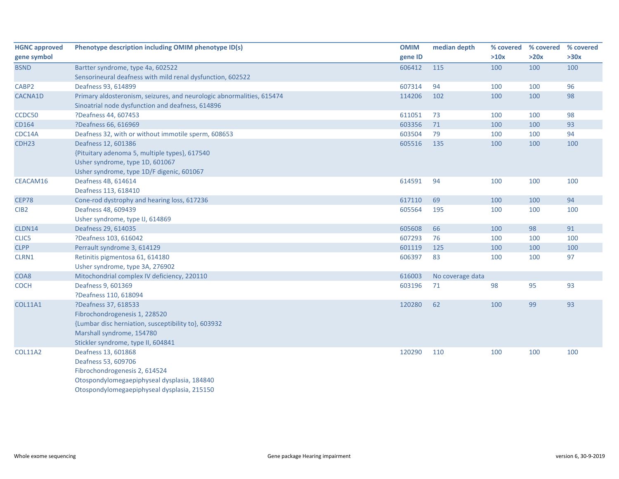| <b>HGNC approved</b> | Phenotype description including OMIM phenotype ID(s)                  | <b>OMIM</b> | median depth     | % covered | % covered | % covered |
|----------------------|-----------------------------------------------------------------------|-------------|------------------|-----------|-----------|-----------|
| gene symbol          |                                                                       | gene ID     |                  | >10x      | >20x      | >30x      |
| <b>BSND</b>          | Bartter syndrome, type 4a, 602522                                     | 606412      | 115              | 100       | 100       | 100       |
|                      | Sensorineural deafness with mild renal dysfunction, 602522            |             |                  |           |           |           |
| CABP2                | Deafness 93, 614899                                                   | 607314      | 94               | 100       | 100       | 96        |
| CACNA1D              | Primary aldosteronism, seizures, and neurologic abnormalities, 615474 | 114206      | 102              | 100       | 100       | 98        |
|                      | Sinoatrial node dysfunction and deafness, 614896                      |             |                  |           |           |           |
| CCDC50               | ?Deafness 44, 607453                                                  | 611051      | 73               | 100       | 100       | 98        |
| CD164                | ?Deafness 66, 616969                                                  | 603356      | 71               | 100       | 100       | 93        |
| CDC14A               | Deafness 32, with or without immotile sperm, 608653                   | 603504      | 79               | 100       | 100       | 94        |
| CDH <sub>23</sub>    | Deafness 12, 601386                                                   | 605516      | 135              | 100       | 100       | 100       |
|                      | {Pituitary adenoma 5, multiple types}, 617540                         |             |                  |           |           |           |
|                      | Usher syndrome, type 1D, 601067                                       |             |                  |           |           |           |
|                      | Usher syndrome, type 1D/F digenic, 601067                             |             |                  |           |           |           |
| CEACAM16             | Deafness 4B, 614614                                                   | 614591      | 94               | 100       | 100       | 100       |
|                      | Deafness 113, 618410                                                  |             |                  |           |           |           |
| <b>CEP78</b>         | Cone-rod dystrophy and hearing loss, 617236                           | 617110      | 69               | 100       | 100       | 94        |
| CIB <sub>2</sub>     | Deafness 48, 609439                                                   | 605564      | 195              | 100       | 100       | 100       |
|                      | Usher syndrome, type IJ, 614869                                       |             |                  |           |           |           |
| CLDN14               | Deafness 29, 614035                                                   | 605608      | 66               | 100       | 98        | 91        |
| CLIC5                | ?Deafness 103, 616042                                                 | 607293      | 76               | 100       | 100       | 100       |
| <b>CLPP</b>          | Perrault syndrome 3, 614129                                           | 601119      | 125              | 100       | 100       | 100       |
| CLRN1                | Retinitis pigmentosa 61, 614180                                       | 606397      | 83               | 100       | 100       | 97        |
|                      | Usher syndrome, type 3A, 276902                                       |             |                  |           |           |           |
| COA8                 | Mitochondrial complex IV deficiency, 220110                           | 616003      | No coverage data |           |           |           |
| <b>COCH</b>          | Deafness 9, 601369                                                    | 603196      | 71               | 98        | 95        | 93        |
|                      | ?Deafness 110, 618094                                                 |             |                  |           |           |           |
| <b>COL11A1</b>       | ?Deafness 37, 618533                                                  | 120280      | 62               | 100       | 99        | 93        |
|                      | Fibrochondrogenesis 1, 228520                                         |             |                  |           |           |           |
|                      | {Lumbar disc herniation, susceptibility to}, 603932                   |             |                  |           |           |           |
|                      | Marshall syndrome, 154780                                             |             |                  |           |           |           |
|                      | Stickler syndrome, type II, 604841                                    |             |                  |           |           |           |
| <b>COL11A2</b>       | Deafness 13, 601868                                                   | 120290      | 110              | 100       | 100       | 100       |
|                      | Deafness 53, 609706                                                   |             |                  |           |           |           |
|                      | Fibrochondrogenesis 2, 614524                                         |             |                  |           |           |           |
|                      | Otospondylomegaepiphyseal dysplasia, 184840                           |             |                  |           |           |           |
|                      | Otospondylomegaepiphyseal dysplasia, 215150                           |             |                  |           |           |           |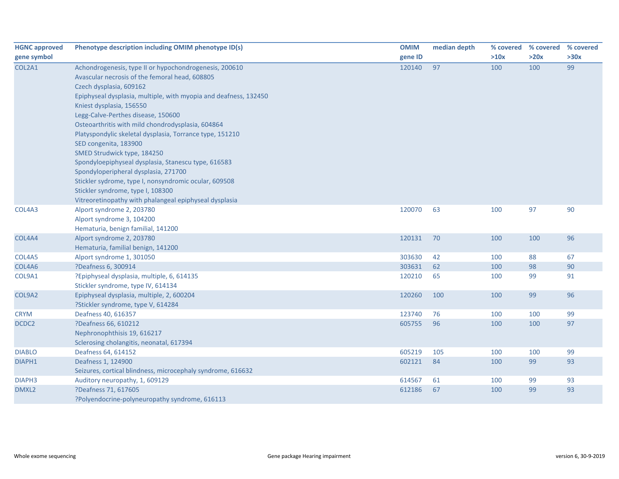| <b>HGNC approved</b> | Phenotype description including OMIM phenotype ID(s)             | <b>OMIM</b> | median depth |      | % covered % covered % covered |      |
|----------------------|------------------------------------------------------------------|-------------|--------------|------|-------------------------------|------|
| gene symbol          |                                                                  | gene ID     |              | >10x | >20x                          | >30x |
| COL2A1               | Achondrogenesis, type II or hypochondrogenesis, 200610           | 120140      | 97           | 100  | 100                           | 99   |
|                      | Avascular necrosis of the femoral head, 608805                   |             |              |      |                               |      |
|                      | Czech dysplasia, 609162                                          |             |              |      |                               |      |
|                      | Epiphyseal dysplasia, multiple, with myopia and deafness, 132450 |             |              |      |                               |      |
|                      | Kniest dysplasia, 156550                                         |             |              |      |                               |      |
|                      | Legg-Calve-Perthes disease, 150600                               |             |              |      |                               |      |
|                      | Osteoarthritis with mild chondrodysplasia, 604864                |             |              |      |                               |      |
|                      | Platyspondylic skeletal dysplasia, Torrance type, 151210         |             |              |      |                               |      |
|                      | SED congenita, 183900                                            |             |              |      |                               |      |
|                      | SMED Strudwick type, 184250                                      |             |              |      |                               |      |
|                      | Spondyloepiphyseal dysplasia, Stanescu type, 616583              |             |              |      |                               |      |
|                      | Spondyloperipheral dysplasia, 271700                             |             |              |      |                               |      |
|                      | Stickler sydrome, type I, nonsyndromic ocular, 609508            |             |              |      |                               |      |
|                      | Stickler syndrome, type I, 108300                                |             |              |      |                               |      |
|                      | Vitreoretinopathy with phalangeal epiphyseal dysplasia           |             |              |      |                               |      |
| COL4A3               | Alport syndrome 2, 203780                                        | 120070      | 63           | 100  | 97                            | 90   |
|                      | Alport syndrome 3, 104200                                        |             |              |      |                               |      |
|                      | Hematuria, benign familial, 141200                               |             |              |      |                               |      |
| COL4A4               | Alport syndrome 2, 203780                                        | 120131      | 70           | 100  | 100                           | 96   |
|                      | Hematuria, familial benign, 141200                               |             |              |      |                               |      |
| COL4A5               | Alport syndrome 1, 301050                                        | 303630      | 42           | 100  | 88                            | 67   |
| COL4A6               | ?Deafness 6, 300914                                              | 303631      | 62           | 100  | 98                            | 90   |
| COL9A1               | ?Epiphyseal dysplasia, multiple, 6, 614135                       | 120210      | 65           | 100  | 99                            | 91   |
|                      | Stickler syndrome, type IV, 614134                               |             |              |      |                               |      |
| COL9A2               | Epiphyseal dysplasia, multiple, 2, 600204                        | 120260      | 100          | 100  | 99                            | 96   |
|                      | ?Stickler syndrome, type V, 614284                               |             |              |      |                               |      |
| <b>CRYM</b>          | Deafness 40, 616357                                              | 123740      | 76           | 100  | 100                           | 99   |
| DCDC2                | ?Deafness 66, 610212                                             | 605755      | 96           | 100  | 100                           | 97   |
|                      | Nephronophthisis 19, 616217                                      |             |              |      |                               |      |
|                      | Sclerosing cholangitis, neonatal, 617394                         |             |              |      |                               |      |
| <b>DIABLO</b>        | Deafness 64, 614152                                              | 605219      | 105          | 100  | 100                           | 99   |
| DIAPH1               | Deafness 1, 124900                                               | 602121      | 84           | 100  | 99                            | 93   |
|                      | Seizures, cortical blindness, microcephaly syndrome, 616632      |             |              |      |                               |      |
| DIAPH <sub>3</sub>   | Auditory neuropathy, 1, 609129                                   | 614567      | 61           | 100  | 99                            | 93   |
| DMXL2                | ?Deafness 71, 617605                                             | 612186      | 67           | 100  | 99                            | 93   |
|                      | ?Polyendocrine-polyneuropathy syndrome, 616113                   |             |              |      |                               |      |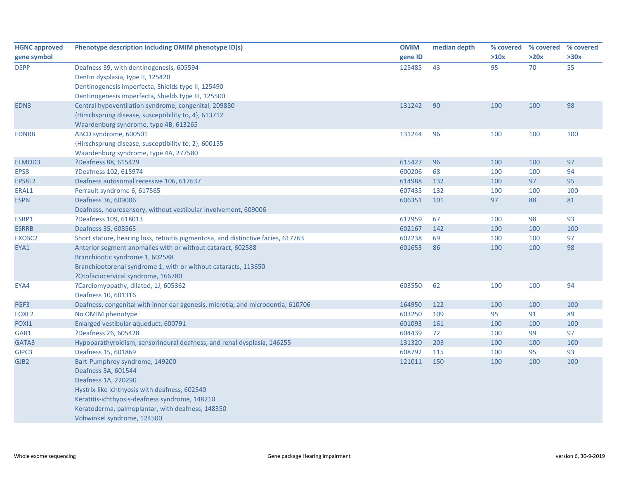| <b>HGNC approved</b> | Phenotype description including OMIM phenotype ID(s)                              | <b>OMIM</b> | median depth |            | % covered % covered % covered |      |
|----------------------|-----------------------------------------------------------------------------------|-------------|--------------|------------|-------------------------------|------|
| gene symbol          |                                                                                   | gene ID     |              | >10x       | >20x                          | >30x |
| <b>DSPP</b>          | Deafness 39, with dentinogenesis, 605594                                          | 125485      | 43           | 95         | 70                            | 55   |
|                      | Dentin dysplasia, type II, 125420                                                 |             |              |            |                               |      |
|                      | Dentinogenesis imperfecta, Shields type II, 125490                                |             |              |            |                               |      |
|                      | Dentinogenesis imperfecta, Shields type III, 125500                               |             |              |            |                               |      |
| EDN3                 | Central hypoventilation syndrome, congenital, 209880                              | 131242      | 90           | 100        | 100                           | 98   |
|                      | {Hirschsprung disease, susceptibility to, 4}, 613712                              |             |              |            |                               |      |
|                      | Waardenburg syndrome, type 4B, 613265                                             |             |              |            |                               |      |
| <b>EDNRB</b>         | ABCD syndrome, 600501                                                             | 131244      | 96           | 100        | 100                           | 100  |
|                      | {Hirschsprung disease, susceptibility to, 2}, 600155                              |             |              |            |                               |      |
|                      | Waardenburg syndrome, type 4A, 277580<br>?Deafness 88, 615429                     | 615427      | 96           |            | 100                           | 97   |
| ELMOD3<br>EPS8       | ?Deafness 102, 615974                                                             | 600206      | 68           | 100<br>100 | 100                           | 94   |
| EPS8L2               | Deafness autosomal recessive 106, 617637                                          | 614988      | 132          | 100        | 97                            | 95   |
| ERAL1                | Perrault syndrome 6, 617565                                                       | 607435      | 132          | 100        | 100                           | 100  |
| <b>ESPN</b>          | Deafness 36, 609006                                                               | 606351      | 101          | 97         | 88                            | 81   |
|                      | Deafness, neurosensory, without vestibular involvement, 609006                    |             |              |            |                               |      |
| ESRP1                | ?Deafness 109, 618013                                                             | 612959      | 67           | 100        | 98                            | 93   |
| <b>ESRRB</b>         | Deafness 35, 608565                                                               | 602167      | 142          | 100        | 100                           | 100  |
| EXOSC2               | Short stature, hearing loss, retinitis pigmentosa, and distinctive facies, 617763 | 602238      | 69           | 100        | 100                           | 97   |
| EYA1                 | Anterior segment anomalies with or without cataract, 602588                       | 601653      | 86           | 100        | 100                           | 98   |
|                      | Branchiootic syndrome 1, 602588                                                   |             |              |            |                               |      |
|                      | Branchiootorenal syndrome 1, with or without cataracts, 113650                    |             |              |            |                               |      |
|                      | ?Otofaciocervical syndrome, 166780                                                |             |              |            |                               |      |
| EYA4                 | ?Cardiomyopathy, dilated, 1J, 605362                                              | 603550      | 62           | 100        | 100                           | 94   |
|                      | Deafness 10, 601316                                                               |             |              |            |                               |      |
| FGF3                 | Deafness, congenital with inner ear agenesis, microtia, and microdontia, 610706   | 164950      | 122          | 100        | 100                           | 100  |
| FOXF2                | No OMIM phenotype                                                                 | 603250      | 109          | 95         | 91                            | 89   |
| FOXI1                | Enlarged vestibular aqueduct, 600791                                              | 601093      | 161          | 100        | 100                           | 100  |
| GAB1                 | ?Deafness 26, 605428                                                              | 604439      | 72           | 100        | 99                            | 97   |
| GATA3                | Hypoparathyroidism, sensorineural deafness, and renal dysplasia, 146255           | 131320      | 203          | 100        | 100                           | 100  |
| GIPC3                | Deafness 15, 601869                                                               | 608792      | 115          | 100        | 95                            | 93   |
| GJB <sub>2</sub>     | Bart-Pumphrey syndrome, 149200                                                    | 121011      | 150          | 100        | 100                           | 100  |
|                      | Deafness 3A, 601544                                                               |             |              |            |                               |      |
|                      | Deafness 1A, 220290                                                               |             |              |            |                               |      |
|                      | Hystrix-like ichthyosis with deafness, 602540                                     |             |              |            |                               |      |
|                      | Keratitis-ichthyosis-deafness syndrome, 148210                                    |             |              |            |                               |      |
|                      | Keratoderma, palmoplantar, with deafness, 148350                                  |             |              |            |                               |      |
|                      | Vohwinkel syndrome, 124500                                                        |             |              |            |                               |      |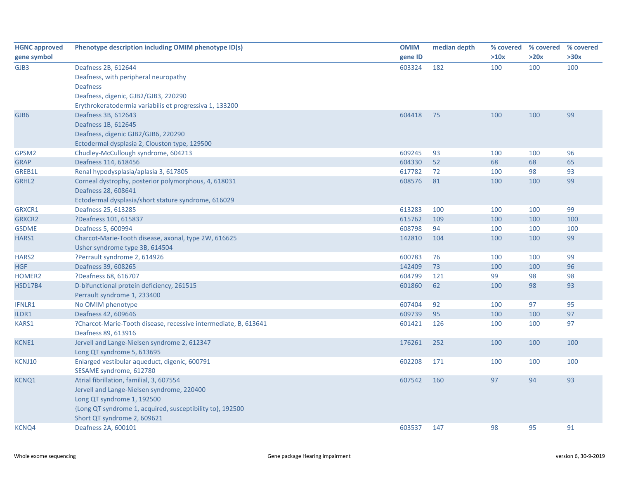| >10x<br>>20x<br>>30x<br>gene ID<br>Deafness 2B, 612644<br>603324<br>182<br>100<br>100<br>100<br>Deafness, with peripheral neuropathy<br><b>Deafness</b><br>Deafness, digenic, GJB2/GJB3, 220290<br>Erythrokeratodermia variabilis et progressiva 1, 133200<br>Deafness 3B, 612643<br>604418<br>75<br>100<br>100<br>99<br>Deafness 1B, 612645<br>Deafness, digenic GJB2/GJB6, 220290<br>Ectodermal dysplasia 2, Clouston type, 129500<br>609245<br>93<br>96<br>Chudley-McCullough syndrome, 604213<br>100<br>100<br>Deafness 114, 618456<br>604330<br>52<br>68<br>68<br>65<br>93<br>Renal hypodysplasia/aplasia 3, 617805<br>617782<br>72<br>100<br>98<br>608576<br>81<br>100<br>99<br>Corneal dystrophy, posterior polymorphous, 4, 618031<br>100<br>Deafness 28, 608641<br>Ectodermal dysplasia/short stature syndrome, 616029<br>Deafness 25, 613285<br>613283<br>100<br>100<br>100<br>99<br>?Deafness 101, 615837<br>615762<br>109<br>100<br>100<br>100<br>608798<br>Deafness 5, 600994<br>94<br>100<br>100<br>100<br>99<br>142810<br>104<br>100<br>100<br>Charcot-Marie-Tooth disease, axonal, type 2W, 616625<br>Usher syndrome type 3B, 614504<br>99<br>?Perrault syndrome 2, 614926<br>600783<br>76<br>100<br>100<br>Deafness 39, 608265<br>142409<br>73<br>100<br>100<br>96<br>?Deafness 68, 616707<br>604799<br>99<br>98<br>98<br>121<br>D-bifunctional protein deficiency, 261515<br>601860<br>62<br>100<br>98<br>93<br>Perrault syndrome 1, 233400<br>95<br>No OMIM phenotype<br>607404<br>92<br>100<br>97<br>95<br>97<br>Deafness 42, 609646<br>609739<br>100<br>100<br>?Charcot-Marie-Tooth disease, recessive intermediate, B, 613641<br>601421<br>126<br>100<br>100<br>97<br>Deafness 89, 613916<br>Jervell and Lange-Nielsen syndrome 2, 612347<br>100<br>176261<br>252<br>100<br>100<br>Long QT syndrome 5, 613695<br>Enlarged vestibular aqueduct, digenic, 600791<br>100<br>602208<br>171<br>100<br>100<br>SESAME syndrome, 612780<br>Atrial fibrillation, familial, 3, 607554<br>607542<br>160<br>97<br>94<br>93<br>Jervell and Lange-Nielsen syndrome, 220400<br>Long QT syndrome 1, 192500<br>{Long QT syndrome 1, acquired, susceptibility to}, 192500<br>Short QT syndrome 2, 609621 | <b>HGNC approved</b> | Phenotype description including OMIM phenotype ID(s) | <b>OMIM</b> | median depth | % covered % covered % covered |    |
|--------------------------------------------------------------------------------------------------------------------------------------------------------------------------------------------------------------------------------------------------------------------------------------------------------------------------------------------------------------------------------------------------------------------------------------------------------------------------------------------------------------------------------------------------------------------------------------------------------------------------------------------------------------------------------------------------------------------------------------------------------------------------------------------------------------------------------------------------------------------------------------------------------------------------------------------------------------------------------------------------------------------------------------------------------------------------------------------------------------------------------------------------------------------------------------------------------------------------------------------------------------------------------------------------------------------------------------------------------------------------------------------------------------------------------------------------------------------------------------------------------------------------------------------------------------------------------------------------------------------------------------------------------------------------------------------------------------------------------------------------------------------------------------------------------------------------------------------------------------------------------------------------------------------------------------------------------------------------------------------------------------------------------------------------------------------------------------------------------------------------------------------------------------------------------------------------------------|----------------------|------------------------------------------------------|-------------|--------------|-------------------------------|----|
|                                                                                                                                                                                                                                                                                                                                                                                                                                                                                                                                                                                                                                                                                                                                                                                                                                                                                                                                                                                                                                                                                                                                                                                                                                                                                                                                                                                                                                                                                                                                                                                                                                                                                                                                                                                                                                                                                                                                                                                                                                                                                                                                                                                                              | gene symbol          |                                                      |             |              |                               |    |
|                                                                                                                                                                                                                                                                                                                                                                                                                                                                                                                                                                                                                                                                                                                                                                                                                                                                                                                                                                                                                                                                                                                                                                                                                                                                                                                                                                                                                                                                                                                                                                                                                                                                                                                                                                                                                                                                                                                                                                                                                                                                                                                                                                                                              | GJB3                 |                                                      |             |              |                               |    |
|                                                                                                                                                                                                                                                                                                                                                                                                                                                                                                                                                                                                                                                                                                                                                                                                                                                                                                                                                                                                                                                                                                                                                                                                                                                                                                                                                                                                                                                                                                                                                                                                                                                                                                                                                                                                                                                                                                                                                                                                                                                                                                                                                                                                              |                      |                                                      |             |              |                               |    |
|                                                                                                                                                                                                                                                                                                                                                                                                                                                                                                                                                                                                                                                                                                                                                                                                                                                                                                                                                                                                                                                                                                                                                                                                                                                                                                                                                                                                                                                                                                                                                                                                                                                                                                                                                                                                                                                                                                                                                                                                                                                                                                                                                                                                              |                      |                                                      |             |              |                               |    |
|                                                                                                                                                                                                                                                                                                                                                                                                                                                                                                                                                                                                                                                                                                                                                                                                                                                                                                                                                                                                                                                                                                                                                                                                                                                                                                                                                                                                                                                                                                                                                                                                                                                                                                                                                                                                                                                                                                                                                                                                                                                                                                                                                                                                              |                      |                                                      |             |              |                               |    |
|                                                                                                                                                                                                                                                                                                                                                                                                                                                                                                                                                                                                                                                                                                                                                                                                                                                                                                                                                                                                                                                                                                                                                                                                                                                                                                                                                                                                                                                                                                                                                                                                                                                                                                                                                                                                                                                                                                                                                                                                                                                                                                                                                                                                              |                      |                                                      |             |              |                               |    |
|                                                                                                                                                                                                                                                                                                                                                                                                                                                                                                                                                                                                                                                                                                                                                                                                                                                                                                                                                                                                                                                                                                                                                                                                                                                                                                                                                                                                                                                                                                                                                                                                                                                                                                                                                                                                                                                                                                                                                                                                                                                                                                                                                                                                              | GJB6                 |                                                      |             |              |                               |    |
|                                                                                                                                                                                                                                                                                                                                                                                                                                                                                                                                                                                                                                                                                                                                                                                                                                                                                                                                                                                                                                                                                                                                                                                                                                                                                                                                                                                                                                                                                                                                                                                                                                                                                                                                                                                                                                                                                                                                                                                                                                                                                                                                                                                                              |                      |                                                      |             |              |                               |    |
|                                                                                                                                                                                                                                                                                                                                                                                                                                                                                                                                                                                                                                                                                                                                                                                                                                                                                                                                                                                                                                                                                                                                                                                                                                                                                                                                                                                                                                                                                                                                                                                                                                                                                                                                                                                                                                                                                                                                                                                                                                                                                                                                                                                                              |                      |                                                      |             |              |                               |    |
|                                                                                                                                                                                                                                                                                                                                                                                                                                                                                                                                                                                                                                                                                                                                                                                                                                                                                                                                                                                                                                                                                                                                                                                                                                                                                                                                                                                                                                                                                                                                                                                                                                                                                                                                                                                                                                                                                                                                                                                                                                                                                                                                                                                                              |                      |                                                      |             |              |                               |    |
|                                                                                                                                                                                                                                                                                                                                                                                                                                                                                                                                                                                                                                                                                                                                                                                                                                                                                                                                                                                                                                                                                                                                                                                                                                                                                                                                                                                                                                                                                                                                                                                                                                                                                                                                                                                                                                                                                                                                                                                                                                                                                                                                                                                                              | GPSM2                |                                                      |             |              |                               |    |
|                                                                                                                                                                                                                                                                                                                                                                                                                                                                                                                                                                                                                                                                                                                                                                                                                                                                                                                                                                                                                                                                                                                                                                                                                                                                                                                                                                                                                                                                                                                                                                                                                                                                                                                                                                                                                                                                                                                                                                                                                                                                                                                                                                                                              | <b>GRAP</b>          |                                                      |             |              |                               |    |
|                                                                                                                                                                                                                                                                                                                                                                                                                                                                                                                                                                                                                                                                                                                                                                                                                                                                                                                                                                                                                                                                                                                                                                                                                                                                                                                                                                                                                                                                                                                                                                                                                                                                                                                                                                                                                                                                                                                                                                                                                                                                                                                                                                                                              | GREB1L               |                                                      |             |              |                               |    |
|                                                                                                                                                                                                                                                                                                                                                                                                                                                                                                                                                                                                                                                                                                                                                                                                                                                                                                                                                                                                                                                                                                                                                                                                                                                                                                                                                                                                                                                                                                                                                                                                                                                                                                                                                                                                                                                                                                                                                                                                                                                                                                                                                                                                              | GRHL <sub>2</sub>    |                                                      |             |              |                               |    |
|                                                                                                                                                                                                                                                                                                                                                                                                                                                                                                                                                                                                                                                                                                                                                                                                                                                                                                                                                                                                                                                                                                                                                                                                                                                                                                                                                                                                                                                                                                                                                                                                                                                                                                                                                                                                                                                                                                                                                                                                                                                                                                                                                                                                              |                      |                                                      |             |              |                               |    |
|                                                                                                                                                                                                                                                                                                                                                                                                                                                                                                                                                                                                                                                                                                                                                                                                                                                                                                                                                                                                                                                                                                                                                                                                                                                                                                                                                                                                                                                                                                                                                                                                                                                                                                                                                                                                                                                                                                                                                                                                                                                                                                                                                                                                              |                      |                                                      |             |              |                               |    |
|                                                                                                                                                                                                                                                                                                                                                                                                                                                                                                                                                                                                                                                                                                                                                                                                                                                                                                                                                                                                                                                                                                                                                                                                                                                                                                                                                                                                                                                                                                                                                                                                                                                                                                                                                                                                                                                                                                                                                                                                                                                                                                                                                                                                              | GRXCR1               |                                                      |             |              |                               |    |
|                                                                                                                                                                                                                                                                                                                                                                                                                                                                                                                                                                                                                                                                                                                                                                                                                                                                                                                                                                                                                                                                                                                                                                                                                                                                                                                                                                                                                                                                                                                                                                                                                                                                                                                                                                                                                                                                                                                                                                                                                                                                                                                                                                                                              | GRXCR2               |                                                      |             |              |                               |    |
|                                                                                                                                                                                                                                                                                                                                                                                                                                                                                                                                                                                                                                                                                                                                                                                                                                                                                                                                                                                                                                                                                                                                                                                                                                                                                                                                                                                                                                                                                                                                                                                                                                                                                                                                                                                                                                                                                                                                                                                                                                                                                                                                                                                                              | <b>GSDME</b>         |                                                      |             |              |                               |    |
|                                                                                                                                                                                                                                                                                                                                                                                                                                                                                                                                                                                                                                                                                                                                                                                                                                                                                                                                                                                                                                                                                                                                                                                                                                                                                                                                                                                                                                                                                                                                                                                                                                                                                                                                                                                                                                                                                                                                                                                                                                                                                                                                                                                                              | HARS1                |                                                      |             |              |                               |    |
|                                                                                                                                                                                                                                                                                                                                                                                                                                                                                                                                                                                                                                                                                                                                                                                                                                                                                                                                                                                                                                                                                                                                                                                                                                                                                                                                                                                                                                                                                                                                                                                                                                                                                                                                                                                                                                                                                                                                                                                                                                                                                                                                                                                                              |                      |                                                      |             |              |                               |    |
|                                                                                                                                                                                                                                                                                                                                                                                                                                                                                                                                                                                                                                                                                                                                                                                                                                                                                                                                                                                                                                                                                                                                                                                                                                                                                                                                                                                                                                                                                                                                                                                                                                                                                                                                                                                                                                                                                                                                                                                                                                                                                                                                                                                                              | HARS <sub>2</sub>    |                                                      |             |              |                               |    |
|                                                                                                                                                                                                                                                                                                                                                                                                                                                                                                                                                                                                                                                                                                                                                                                                                                                                                                                                                                                                                                                                                                                                                                                                                                                                                                                                                                                                                                                                                                                                                                                                                                                                                                                                                                                                                                                                                                                                                                                                                                                                                                                                                                                                              | <b>HGF</b>           |                                                      |             |              |                               |    |
|                                                                                                                                                                                                                                                                                                                                                                                                                                                                                                                                                                                                                                                                                                                                                                                                                                                                                                                                                                                                                                                                                                                                                                                                                                                                                                                                                                                                                                                                                                                                                                                                                                                                                                                                                                                                                                                                                                                                                                                                                                                                                                                                                                                                              | HOMER2               |                                                      |             |              |                               |    |
|                                                                                                                                                                                                                                                                                                                                                                                                                                                                                                                                                                                                                                                                                                                                                                                                                                                                                                                                                                                                                                                                                                                                                                                                                                                                                                                                                                                                                                                                                                                                                                                                                                                                                                                                                                                                                                                                                                                                                                                                                                                                                                                                                                                                              | <b>HSD17B4</b>       |                                                      |             |              |                               |    |
|                                                                                                                                                                                                                                                                                                                                                                                                                                                                                                                                                                                                                                                                                                                                                                                                                                                                                                                                                                                                                                                                                                                                                                                                                                                                                                                                                                                                                                                                                                                                                                                                                                                                                                                                                                                                                                                                                                                                                                                                                                                                                                                                                                                                              |                      |                                                      |             |              |                               |    |
|                                                                                                                                                                                                                                                                                                                                                                                                                                                                                                                                                                                                                                                                                                                                                                                                                                                                                                                                                                                                                                                                                                                                                                                                                                                                                                                                                                                                                                                                                                                                                                                                                                                                                                                                                                                                                                                                                                                                                                                                                                                                                                                                                                                                              | <b>IFNLR1</b>        |                                                      |             |              |                               |    |
|                                                                                                                                                                                                                                                                                                                                                                                                                                                                                                                                                                                                                                                                                                                                                                                                                                                                                                                                                                                                                                                                                                                                                                                                                                                                                                                                                                                                                                                                                                                                                                                                                                                                                                                                                                                                                                                                                                                                                                                                                                                                                                                                                                                                              | ILDR1                |                                                      |             |              |                               |    |
|                                                                                                                                                                                                                                                                                                                                                                                                                                                                                                                                                                                                                                                                                                                                                                                                                                                                                                                                                                                                                                                                                                                                                                                                                                                                                                                                                                                                                                                                                                                                                                                                                                                                                                                                                                                                                                                                                                                                                                                                                                                                                                                                                                                                              | <b>KARS1</b>         |                                                      |             |              |                               |    |
|                                                                                                                                                                                                                                                                                                                                                                                                                                                                                                                                                                                                                                                                                                                                                                                                                                                                                                                                                                                                                                                                                                                                                                                                                                                                                                                                                                                                                                                                                                                                                                                                                                                                                                                                                                                                                                                                                                                                                                                                                                                                                                                                                                                                              |                      |                                                      |             |              |                               |    |
|                                                                                                                                                                                                                                                                                                                                                                                                                                                                                                                                                                                                                                                                                                                                                                                                                                                                                                                                                                                                                                                                                                                                                                                                                                                                                                                                                                                                                                                                                                                                                                                                                                                                                                                                                                                                                                                                                                                                                                                                                                                                                                                                                                                                              | <b>KCNE1</b>         |                                                      |             |              |                               |    |
|                                                                                                                                                                                                                                                                                                                                                                                                                                                                                                                                                                                                                                                                                                                                                                                                                                                                                                                                                                                                                                                                                                                                                                                                                                                                                                                                                                                                                                                                                                                                                                                                                                                                                                                                                                                                                                                                                                                                                                                                                                                                                                                                                                                                              |                      |                                                      |             |              |                               |    |
|                                                                                                                                                                                                                                                                                                                                                                                                                                                                                                                                                                                                                                                                                                                                                                                                                                                                                                                                                                                                                                                                                                                                                                                                                                                                                                                                                                                                                                                                                                                                                                                                                                                                                                                                                                                                                                                                                                                                                                                                                                                                                                                                                                                                              | KCNJ10               |                                                      |             |              |                               |    |
|                                                                                                                                                                                                                                                                                                                                                                                                                                                                                                                                                                                                                                                                                                                                                                                                                                                                                                                                                                                                                                                                                                                                                                                                                                                                                                                                                                                                                                                                                                                                                                                                                                                                                                                                                                                                                                                                                                                                                                                                                                                                                                                                                                                                              |                      |                                                      |             |              |                               |    |
|                                                                                                                                                                                                                                                                                                                                                                                                                                                                                                                                                                                                                                                                                                                                                                                                                                                                                                                                                                                                                                                                                                                                                                                                                                                                                                                                                                                                                                                                                                                                                                                                                                                                                                                                                                                                                                                                                                                                                                                                                                                                                                                                                                                                              | KCNQ1                |                                                      |             |              |                               |    |
|                                                                                                                                                                                                                                                                                                                                                                                                                                                                                                                                                                                                                                                                                                                                                                                                                                                                                                                                                                                                                                                                                                                                                                                                                                                                                                                                                                                                                                                                                                                                                                                                                                                                                                                                                                                                                                                                                                                                                                                                                                                                                                                                                                                                              |                      |                                                      |             |              |                               |    |
|                                                                                                                                                                                                                                                                                                                                                                                                                                                                                                                                                                                                                                                                                                                                                                                                                                                                                                                                                                                                                                                                                                                                                                                                                                                                                                                                                                                                                                                                                                                                                                                                                                                                                                                                                                                                                                                                                                                                                                                                                                                                                                                                                                                                              |                      |                                                      |             |              |                               |    |
|                                                                                                                                                                                                                                                                                                                                                                                                                                                                                                                                                                                                                                                                                                                                                                                                                                                                                                                                                                                                                                                                                                                                                                                                                                                                                                                                                                                                                                                                                                                                                                                                                                                                                                                                                                                                                                                                                                                                                                                                                                                                                                                                                                                                              |                      |                                                      |             |              |                               |    |
|                                                                                                                                                                                                                                                                                                                                                                                                                                                                                                                                                                                                                                                                                                                                                                                                                                                                                                                                                                                                                                                                                                                                                                                                                                                                                                                                                                                                                                                                                                                                                                                                                                                                                                                                                                                                                                                                                                                                                                                                                                                                                                                                                                                                              |                      |                                                      |             |              |                               |    |
| 603537<br>98<br>95<br>147                                                                                                                                                                                                                                                                                                                                                                                                                                                                                                                                                                                                                                                                                                                                                                                                                                                                                                                                                                                                                                                                                                                                                                                                                                                                                                                                                                                                                                                                                                                                                                                                                                                                                                                                                                                                                                                                                                                                                                                                                                                                                                                                                                                    | KCNQ4                | Deafness 2A, 600101                                  |             |              |                               | 91 |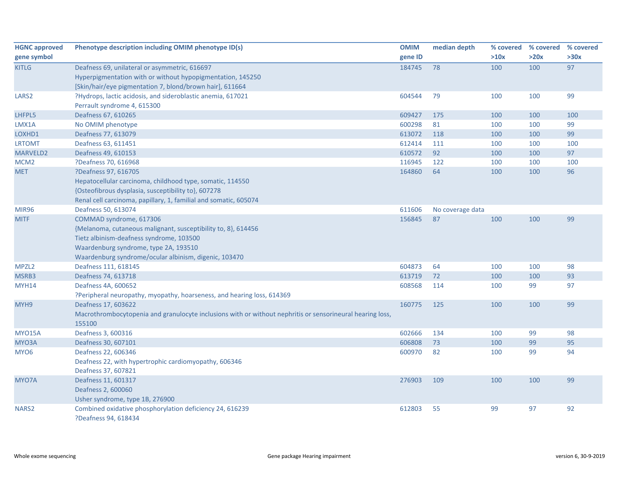| <b>HGNC approved</b> | Phenotype description including OMIM phenotype ID(s)                                                      | <b>OMIM</b> | median depth     |      | % covered % covered | % covered |
|----------------------|-----------------------------------------------------------------------------------------------------------|-------------|------------------|------|---------------------|-----------|
| gene symbol          |                                                                                                           | gene ID     |                  | >10x | >20x                | >30x      |
| <b>KITLG</b>         | Deafness 69, unilateral or asymmetric, 616697                                                             | 184745      | 78               | 100  | 100                 | 97        |
|                      | Hyperpigmentation with or without hypopigmentation, 145250                                                |             |                  |      |                     |           |
|                      | [Skin/hair/eye pigmentation 7, blond/brown hair], 611664                                                  |             |                  |      |                     |           |
| LARS <sub>2</sub>    | ?Hydrops, lactic acidosis, and sideroblastic anemia, 617021                                               | 604544      | 79               | 100  | 100                 | 99        |
|                      | Perrault syndrome 4, 615300                                                                               |             |                  |      |                     |           |
| LHFPL5               | Deafness 67, 610265                                                                                       | 609427      | 175              | 100  | 100                 | 100       |
| LMX1A                | No OMIM phenotype                                                                                         | 600298      | 81               | 100  | 100                 | 99        |
| LOXHD1               | Deafness 77, 613079                                                                                       | 613072      | 118              | 100  | 100                 | 99        |
| <b>LRTOMT</b>        | Deafness 63, 611451                                                                                       | 612414      | 111              | 100  | 100                 | 100       |
| MARVELD2             | Deafness 49, 610153                                                                                       | 610572      | 92               | 100  | 100                 | 97        |
| MCM <sub>2</sub>     | ?Deafness 70, 616968                                                                                      | 116945      | 122              | 100  | 100                 | 100       |
| <b>MET</b>           | ?Deafness 97, 616705                                                                                      | 164860      | 64               | 100  | 100                 | 96        |
|                      | Hepatocellular carcinoma, childhood type, somatic, 114550                                                 |             |                  |      |                     |           |
|                      | {Osteofibrous dysplasia, susceptibility to}, 607278                                                       |             |                  |      |                     |           |
|                      | Renal cell carcinoma, papillary, 1, familial and somatic, 605074                                          |             |                  |      |                     |           |
| <b>MIR96</b>         | Deafness 50, 613074                                                                                       | 611606      | No coverage data |      |                     |           |
| <b>MITF</b>          | COMMAD syndrome, 617306                                                                                   | 156845      | 87               | 100  | 100                 | 99        |
|                      | {Melanoma, cutaneous malignant, susceptibility to, 8}, 614456                                             |             |                  |      |                     |           |
|                      | Tietz albinism-deafness syndrome, 103500                                                                  |             |                  |      |                     |           |
|                      | Waardenburg syndrome, type 2A, 193510                                                                     |             |                  |      |                     |           |
|                      | Waardenburg syndrome/ocular albinism, digenic, 103470                                                     |             |                  |      |                     |           |
| MPZL <sub>2</sub>    | Deafness 111, 618145                                                                                      | 604873      | 64               | 100  | 100                 | 98        |
| MSRB3                | Deafness 74, 613718                                                                                       | 613719      | 72               | 100  | 100                 | 93        |
| <b>MYH14</b>         | Deafness 4A, 600652                                                                                       | 608568      | 114              | 100  | 99                  | 97        |
|                      | ?Peripheral neuropathy, myopathy, hoarseness, and hearing loss, 614369                                    |             |                  |      |                     |           |
| MYH9                 | Deafness 17, 603622                                                                                       | 160775      | 125              | 100  | 100                 | 99        |
|                      | Macrothrombocytopenia and granulocyte inclusions with or without nephritis or sensorineural hearing loss, |             |                  |      |                     |           |
|                      | 155100                                                                                                    |             |                  |      |                     |           |
| <b>MYO15A</b>        | Deafness 3, 600316                                                                                        | 602666      | 134              | 100  | 99                  | 98        |
| MYO3A                | Deafness 30, 607101                                                                                       | 606808      | 73               | 100  | 99                  | 95        |
| MYO <sub>6</sub>     | Deafness 22, 606346                                                                                       | 600970      | 82               | 100  | 99                  | 94        |
|                      | Deafness 22, with hypertrophic cardiomyopathy, 606346                                                     |             |                  |      |                     |           |
|                      | Deafness 37, 607821                                                                                       |             |                  |      |                     |           |
| MYO7A                | Deafness 11, 601317                                                                                       | 276903      | 109              | 100  | 100                 | 99        |
|                      | Deafness 2, 600060                                                                                        |             |                  |      |                     |           |
|                      | Usher syndrome, type 1B, 276900                                                                           |             |                  |      |                     |           |
| NARS <sub>2</sub>    | Combined oxidative phosphorylation deficiency 24, 616239                                                  | 612803      | 55               | 99   | 97                  | 92        |
|                      | ?Deafness 94, 618434                                                                                      |             |                  |      |                     |           |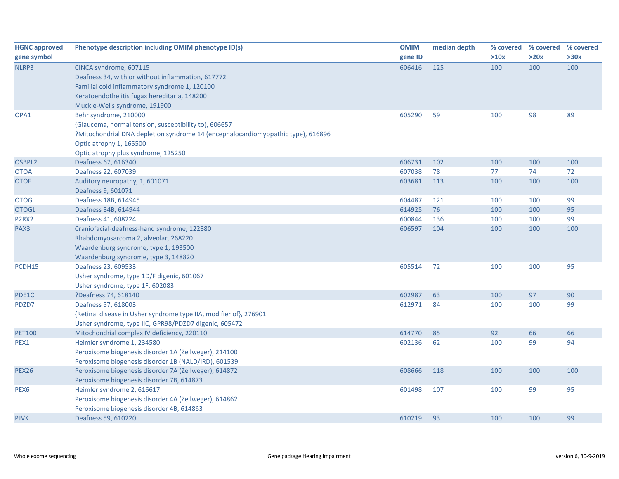| <b>HGNC approved</b> | Phenotype description including OMIM phenotype ID(s)                             | <b>OMIM</b> | median depth |      | % covered % covered | % covered |
|----------------------|----------------------------------------------------------------------------------|-------------|--------------|------|---------------------|-----------|
| gene symbol          |                                                                                  | gene ID     |              | >10x | >20x                | >30x      |
| NLRP3                | CINCA syndrome, 607115                                                           | 606416      | 125          | 100  | 100                 | 100       |
|                      | Deafness 34, with or without inflammation, 617772                                |             |              |      |                     |           |
|                      | Familial cold inflammatory syndrome 1, 120100                                    |             |              |      |                     |           |
|                      | Keratoendothelitis fugax hereditaria, 148200                                     |             |              |      |                     |           |
|                      | Muckle-Wells syndrome, 191900                                                    |             |              |      |                     |           |
| OPA1                 | Behr syndrome, 210000                                                            | 605290      | 59           | 100  | 98                  | 89        |
|                      | {Glaucoma, normal tension, susceptibility to}, 606657                            |             |              |      |                     |           |
|                      | ?Mitochondrial DNA depletion syndrome 14 (encephalocardiomyopathic type), 616896 |             |              |      |                     |           |
|                      | Optic atrophy 1, 165500                                                          |             |              |      |                     |           |
|                      | Optic atrophy plus syndrome, 125250                                              |             |              |      |                     |           |
| OSBPL2               | Deafness 67, 616340                                                              | 606731      | 102          | 100  | 100                 | 100       |
| <b>OTOA</b>          | Deafness 22, 607039                                                              | 607038      | 78           | 77   | 74                  | 72        |
| <b>OTOF</b>          | Auditory neuropathy, 1, 601071                                                   | 603681      | 113          | 100  | 100                 | 100       |
|                      | Deafness 9, 601071                                                               |             |              |      |                     |           |
| <b>OTOG</b>          | Deafness 18B, 614945                                                             | 604487      | 121          | 100  | 100                 | 99        |
| <b>OTOGL</b>         | Deafness 84B, 614944                                                             | 614925      | 76           | 100  | 100                 | 95        |
| P2RX2                | Deafness 41, 608224                                                              | 600844      | 136          | 100  | 100                 | 99        |
| PAX3                 | Craniofacial-deafness-hand syndrome, 122880                                      | 606597      | 104          | 100  | 100                 | 100       |
|                      | Rhabdomyosarcoma 2, alveolar, 268220                                             |             |              |      |                     |           |
|                      | Waardenburg syndrome, type 1, 193500                                             |             |              |      |                     |           |
|                      | Waardenburg syndrome, type 3, 148820                                             |             |              |      |                     |           |
| PCDH15               | Deafness 23, 609533                                                              | 605514      | 72           | 100  | 100                 | 95        |
|                      | Usher syndrome, type 1D/F digenic, 601067                                        |             |              |      |                     |           |
|                      | Usher syndrome, type 1F, 602083                                                  |             |              |      |                     |           |
| PDE1C                | ?Deafness 74, 618140                                                             | 602987      | 63           | 100  | 97                  | 90        |
| PDZD7                | Deafness 57, 618003                                                              | 612971      | 84           | 100  | 100                 | 99        |
|                      | {Retinal disease in Usher syndrome type IIA, modifier of}, 276901                |             |              |      |                     |           |
|                      | Usher syndrome, type IIC, GPR98/PDZD7 digenic, 605472                            |             |              |      |                     |           |
| <b>PET100</b>        | Mitochondrial complex IV deficiency, 220110                                      | 614770      | 85           | 92   | 66                  | 66        |
| PEX1                 | Heimler syndrome 1, 234580                                                       | 602136      | 62           | 100  | 99                  | 94        |
|                      | Peroxisome biogenesis disorder 1A (Zellweger), 214100                            |             |              |      |                     |           |
|                      | Peroxisome biogenesis disorder 1B (NALD/IRD), 601539                             |             |              |      |                     |           |
| <b>PEX26</b>         | Peroxisome biogenesis disorder 7A (Zellweger), 614872                            | 608666      | 118          | 100  | 100                 | 100       |
|                      | Peroxisome biogenesis disorder 7B, 614873                                        |             |              |      |                     |           |
| PEX6                 | Heimler syndrome 2, 616617                                                       | 601498      | 107          | 100  | 99                  | 95        |
|                      | Peroxisome biogenesis disorder 4A (Zellweger), 614862                            |             |              |      |                     |           |
|                      | Peroxisome biogenesis disorder 4B, 614863                                        |             |              |      |                     |           |
| <b>PJVK</b>          | Deafness 59, 610220                                                              | 610219      | 93           | 100  | 100                 | 99        |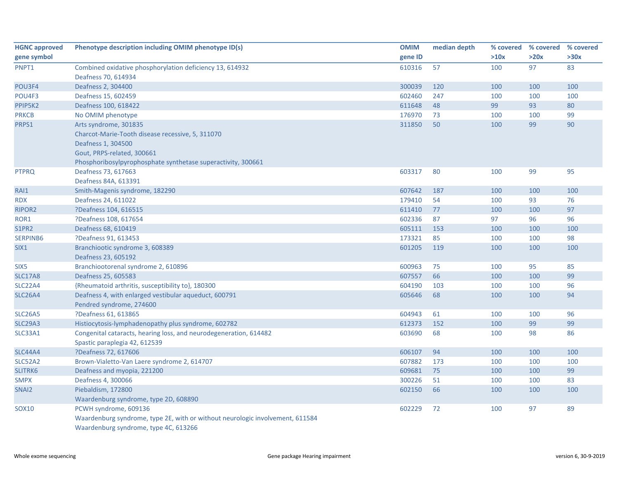| <b>HGNC approved</b> | Phenotype description including OMIM phenotype ID(s)                          | <b>OMIM</b> | median depth | % covered | % covered | % covered |
|----------------------|-------------------------------------------------------------------------------|-------------|--------------|-----------|-----------|-----------|
| gene symbol          |                                                                               | gene ID     |              | >10x      | >20x      | >30x      |
| PNPT1                | Combined oxidative phosphorylation deficiency 13, 614932                      | 610316      | 57           | 100       | 97        | 83        |
|                      | Deafness 70, 614934                                                           |             |              |           |           |           |
| POU3F4               | Deafness 2, 304400                                                            | 300039      | 120          | 100       | 100       | 100       |
| POU4F3               | Deafness 15, 602459                                                           | 602460      | 247          | 100       | 100       | 100       |
| PPIP5K2              | Deafness 100, 618422                                                          | 611648      | 48           | 99        | 93        | 80        |
| <b>PRKCB</b>         | No OMIM phenotype                                                             | 176970      | 73           | 100       | 100       | 99        |
| PRPS1                | Arts syndrome, 301835                                                         | 311850      | 50           | 100       | 99        | 90        |
|                      | Charcot-Marie-Tooth disease recessive, 5, 311070                              |             |              |           |           |           |
|                      | Deafness 1, 304500                                                            |             |              |           |           |           |
|                      | Gout, PRPS-related, 300661                                                    |             |              |           |           |           |
|                      | Phosphoribosylpyrophosphate synthetase superactivity, 300661                  |             |              |           |           |           |
| <b>PTPRQ</b>         | Deafness 73, 617663                                                           | 603317      | 80           | 100       | 99        | 95        |
|                      | Deafness 84A, 613391                                                          |             |              |           |           |           |
| RAI1                 | Smith-Magenis syndrome, 182290                                                | 607642      | 187          | 100       | 100       | 100       |
| <b>RDX</b>           | Deafness 24, 611022                                                           | 179410      | 54           | 100       | 93        | 76        |
| RIPOR2               | ?Deafness 104, 616515                                                         | 611410      | 77           | 100       | 100       | 97        |
| ROR1                 | ?Deafness 108, 617654                                                         | 602336      | 87           | 97        | 96        | 96        |
| S1PR2                | Deafness 68, 610419                                                           | 605111      | 153          | 100       | 100       | 100       |
| SERPINB6             | ?Deafness 91, 613453                                                          | 173321      | 85           | 100       | 100       | 98        |
| SIX1                 | Branchiootic syndrome 3, 608389                                               | 601205      | 119          | 100       | 100       | 100       |
|                      | Deafness 23, 605192                                                           |             |              |           |           |           |
| SIX <sub>5</sub>     | Branchiootorenal syndrome 2, 610896                                           | 600963      | 75           | 100       | 95        | 85        |
| <b>SLC17A8</b>       | Deafness 25, 605583                                                           | 607557      | 66           | 100       | 100       | 99        |
| SLC22A4              | {Rheumatoid arthritis, susceptibility to}, 180300                             | 604190      | 103          | 100       | 100       | 96        |
| <b>SLC26A4</b>       | Deafness 4, with enlarged vestibular aqueduct, 600791                         | 605646      | 68           | 100       | 100       | 94        |
|                      | Pendred syndrome, 274600                                                      |             |              |           |           |           |
| <b>SLC26A5</b>       | ?Deafness 61, 613865                                                          | 604943      | 61           | 100       | 100       | 96        |
| <b>SLC29A3</b>       | Histiocytosis-lymphadenopathy plus syndrome, 602782                           | 612373      | 152          | 100       | 99        | 99        |
| SLC33A1              | Congenital cataracts, hearing loss, and neurodegeneration, 614482             | 603690      | 68           | 100       | 98        | 86        |
|                      | Spastic paraplegia 42, 612539                                                 |             |              |           |           |           |
| <b>SLC44A4</b>       | ?Deafness 72, 617606                                                          | 606107      | 94           | 100       | 100       | 100       |
| SLC52A2              | Brown-Vialetto-Van Laere syndrome 2, 614707                                   | 607882      | 173          | 100       | 100       | 100       |
| SLITRK6              | Deafness and myopia, 221200                                                   | 609681      | 75           | 100       | 100       | 99        |
| <b>SMPX</b>          | Deafness 4, 300066                                                            | 300226      | 51           | 100       | 100       | 83        |
| SNAI2                | Piebaldism, 172800                                                            | 602150      | 66           | 100       | 100       | 100       |
|                      | Waardenburg syndrome, type 2D, 608890                                         |             |              |           |           |           |
| SOX10                | PCWH syndrome, 609136                                                         | 602229      | 72           | 100       | 97        | 89        |
|                      | Waardenburg syndrome, type 2E, with or without neurologic involvement, 611584 |             |              |           |           |           |
|                      | Waardenburg syndrome, type 4C, 613266                                         |             |              |           |           |           |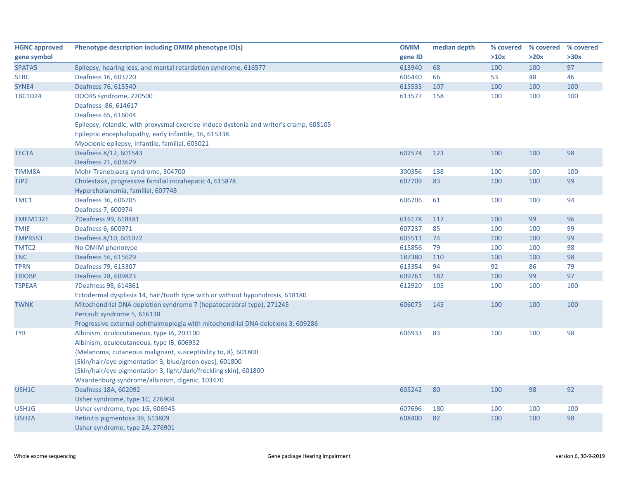| <b>HGNC approved</b> | Phenotype description including OMIM phenotype ID(s)                                   | <b>OMIM</b> | median depth |      | % covered % covered | % covered |
|----------------------|----------------------------------------------------------------------------------------|-------------|--------------|------|---------------------|-----------|
| gene symbol          |                                                                                        | gene ID     |              | >10x | >20x                | >30x      |
| SPATA5               | Epilepsy, hearing loss, and mental retardation syndrome, 616577                        | 613940      | 68           | 100  | 100                 | 97        |
| <b>STRC</b>          | Deafness 16, 603720                                                                    | 606440      | 66           | 53   | 48                  | 46        |
| SYNE4                | Deafness 76, 615540                                                                    | 615535      | 107          | 100  | 100                 | 100       |
| <b>TBC1D24</b>       | DOORS syndrome, 220500                                                                 | 613577      | 158          | 100  | 100                 | 100       |
|                      | Deafness 86, 614617                                                                    |             |              |      |                     |           |
|                      | Deafness 65, 616044                                                                    |             |              |      |                     |           |
|                      | Epilepsy, rolandic, with proxysmal exercise-induce dystonia and writer's cramp, 608105 |             |              |      |                     |           |
|                      | Epileptic encephalopathy, early infantile, 16, 615338                                  |             |              |      |                     |           |
|                      | Myoclonic epilepsy, infantile, familial, 605021                                        |             |              |      |                     |           |
| <b>TECTA</b>         | Deafness 8/12, 601543                                                                  | 602574      | 123          | 100  | 100                 | 98        |
|                      | Deafness 21, 603629                                                                    |             |              |      |                     |           |
| TIMM8A               | Mohr-Tranebjaerg syndrome, 304700                                                      | 300356      | 138          | 100  | 100                 | 100       |
| TJP2                 | Cholestasis, progressive familial intrahepatic 4, 615878                               | 607709      | 83           | 100  | 100                 | 99        |
|                      | Hypercholanemia, familial, 607748                                                      |             |              |      |                     |           |
| TMC1                 | Deafness 36, 606705                                                                    | 606706      | 61           | 100  | 100                 | 94        |
|                      | Deafness 7, 600974                                                                     |             |              |      |                     |           |
| <b>TMEM132E</b>      | ?Deafness 99, 618481                                                                   | 616178      | 117          | 100  | 99                  | 96        |
| <b>TMIE</b>          | Deafness 6, 600971                                                                     | 607237      | 85           | 100  | 100                 | 99        |
| TMPRSS3              | Deafness 8/10, 601072                                                                  | 605511      | 74           | 100  | 100                 | 99        |
| TMTC <sub>2</sub>    | No OMIM phenotype                                                                      | 615856      | 79           | 100  | 100                 | 98        |
| <b>TNC</b>           | Deafness 56, 615629                                                                    | 187380      | 110          | 100  | 100                 | 98        |
| <b>TPRN</b>          | Deafness 79, 613307                                                                    | 613354      | 94           | 92   | 86                  | 79        |
| <b>TRIOBP</b>        | Deafness 28, 609823                                                                    | 609761      | 182          | 100  | 99                  | 97        |
| <b>TSPEAR</b>        | ?Deafness 98, 614861                                                                   | 612920      | 105          | 100  | 100                 | 100       |
|                      | Ectodermal dysplasia 14, hair/tooth type with or without hypohidrosis, 618180          |             |              |      |                     |           |
| <b>TWNK</b>          | Mitochondrial DNA depletion syndrome 7 (hepatocerebral type), 271245                   | 606075      | 145          | 100  | 100                 | 100       |
|                      | Perrault syndrome 5, 616138                                                            |             |              |      |                     |           |
|                      | Progressive external ophthalmoplegia with mitochondrial DNA deletions 3, 609286        |             |              |      |                     |           |
| <b>TYR</b>           | Albinism, oculocutaneous, type IA, 203100                                              | 606933      | 83           | 100  | 100                 | 98        |
|                      | Albinism, oculocutaneous, type IB, 606952                                              |             |              |      |                     |           |
|                      | {Melanoma, cutaneous malignant, susceptibility to, 8}, 601800                          |             |              |      |                     |           |
|                      | [Skin/hair/eye pigmentation 3, blue/green eyes], 601800                                |             |              |      |                     |           |
|                      | [Skin/hair/eye pigmentation 3, light/dark/freckling skin], 601800                      |             |              |      |                     |           |
|                      | Waardenburg syndrome/albinism, digenic, 103470                                         |             |              |      |                     |           |
| USH1C                | Deafness 18A, 602092                                                                   | 605242      | 80           | 100  | 98                  | 92        |
|                      | Usher syndrome, type 1C, 276904                                                        |             |              |      |                     |           |
| USH1G                | Usher syndrome, type 1G, 606943                                                        | 607696      | 180          | 100  | 100                 | 100       |
| USH <sub>2</sub> A   | Retinitis pigmentosa 39, 613809                                                        | 608400      | 82           | 100  | 100                 | 98        |
|                      | Usher syndrome, type 2A, 276901                                                        |             |              |      |                     |           |